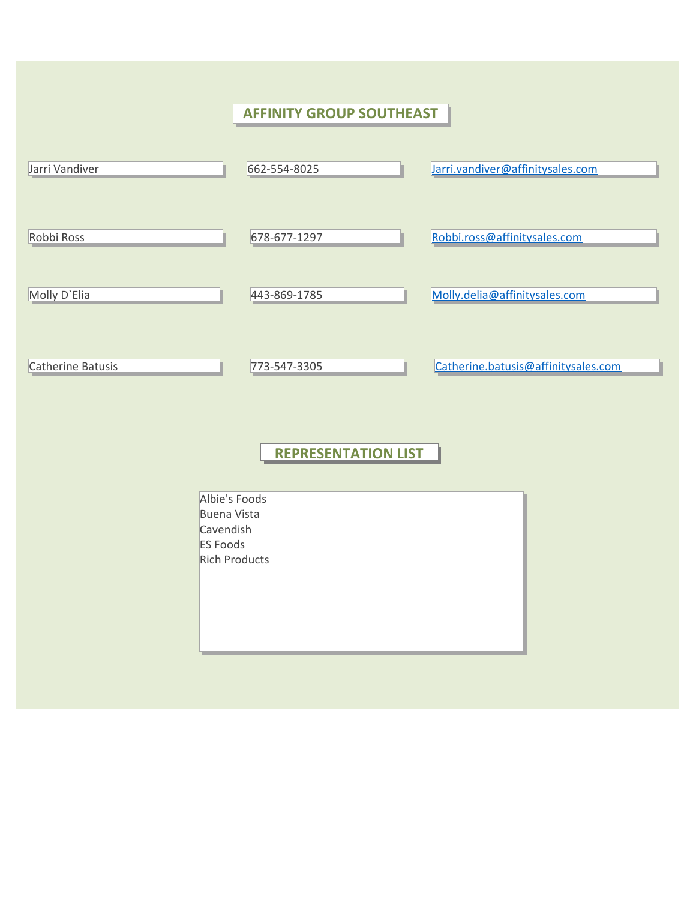## **AFFINITY GROUP SOUTHEAST** Jarri Vandiver **Construction Construction Construction Construction Construction** de la San [Jarri.vandiver@affinitysales.com](mailto:Jarri.vandiver@affinitysales.com) Robbi Ross **1988 Robbi.ross Robbi.ross Robbi.ross Robbi.ross Robbi.ross Robbi.ross Robbi.ross Robbi.ross Robbi.ross Robbi.ross Robbi.ross Robbi.ross Robbi.ross Robbi.ross Robbi.ross Robbi.ro** Molly D`Elia 443-869-1785 [Molly.delia@affinitysales.com](mailto:Molly.delia@affinitysales.com) Catherine Batusis 773-547-3305 [Catherine.batusis@affinitysales.com](mailto:Catherine.batusis@affinitysales.com) **REPRESENTATION LIST** Albie's Foods Buena Vista Cavendish ES Foods Rich Products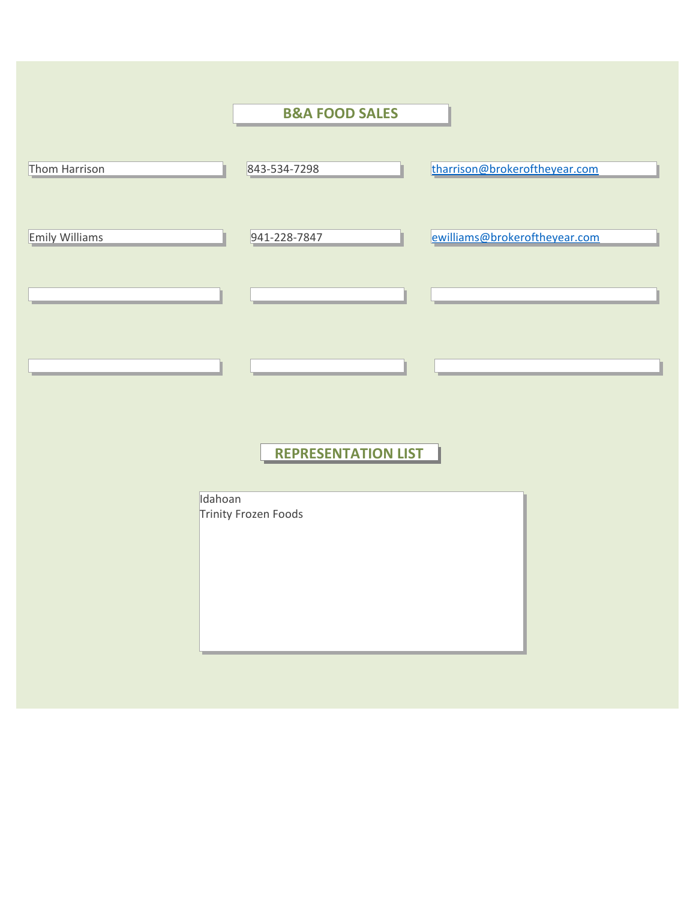|                       | <b>B&amp;A FOOD SALES</b>  |                               |
|-----------------------|----------------------------|-------------------------------|
|                       |                            |                               |
| Thom Harrison         | 843-534-7298               | tharrison@brokeroftheyear.com |
|                       |                            |                               |
| <b>Emily Williams</b> | 941-228-7847               | ewilliams@brokeroftheyear.com |
|                       |                            |                               |
|                       |                            |                               |
|                       |                            |                               |
|                       |                            |                               |
|                       |                            |                               |
|                       |                            |                               |
|                       | <b>REPRESENTATION LIST</b> |                               |
|                       |                            |                               |
| Idahoan               |                            |                               |
|                       | Trinity Frozen Foods       |                               |
|                       |                            |                               |
|                       |                            |                               |
|                       |                            |                               |
|                       |                            |                               |
|                       |                            |                               |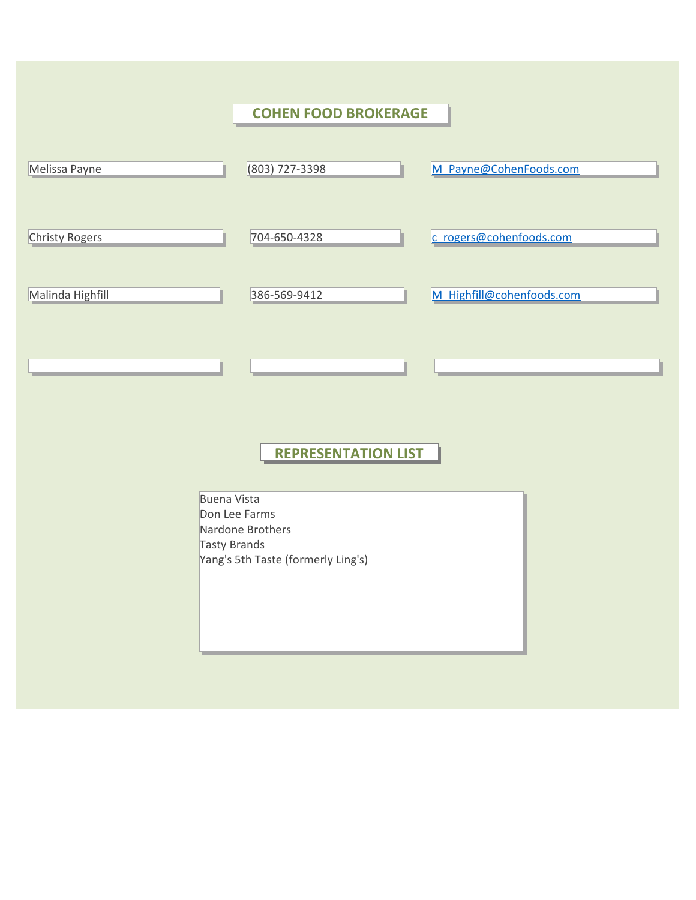|                       | <b>COHEN FOOD BROKERAGE</b>                                                                                   |  |
|-----------------------|---------------------------------------------------------------------------------------------------------------|--|
| Melissa Payne         | (803) 727-3398<br>M Payne@CohenFoods.com                                                                      |  |
| <b>Christy Rogers</b> | 704-650-4328<br>c rogers@cohenfoods.com                                                                       |  |
| Malinda Highfill      | 386-569-9412<br>M Highfill@cohenfoods.com                                                                     |  |
|                       | <b>REPRESENTATION LIST</b>                                                                                    |  |
|                       | <b>Buena Vista</b><br>Don Lee Farms<br>Nardone Brothers<br>Tasty Brands<br>Yang's 5th Taste (formerly Ling's) |  |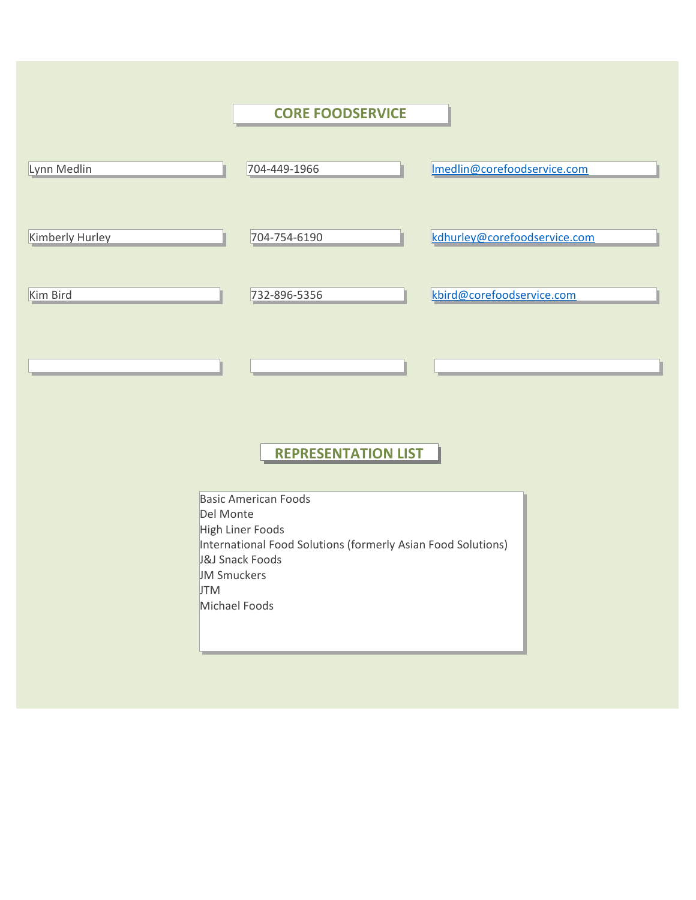|                                               | <b>CORE FOODSERVICE</b>                                                                                                                             |                              |
|-----------------------------------------------|-----------------------------------------------------------------------------------------------------------------------------------------------------|------------------------------|
| Lynn Medlin                                   | 704-449-1966                                                                                                                                        | Imedlin@corefoodservice.com  |
| Kimberly Hurley                               | 704-754-6190                                                                                                                                        | kdhurley@corefoodservice.com |
| Kim Bird                                      | 732-896-5356                                                                                                                                        | kbird@corefoodservice.com    |
|                                               | <b>REPRESENTATION LIST</b>                                                                                                                          |                              |
| Del Monte<br><b>JM Smuckers</b><br><b>JTM</b> | <b>Basic American Foods</b><br>High Liner Foods<br>International Food Solutions (formerly Asian Food Solutions)<br>J&J Snack Foods<br>Michael Foods |                              |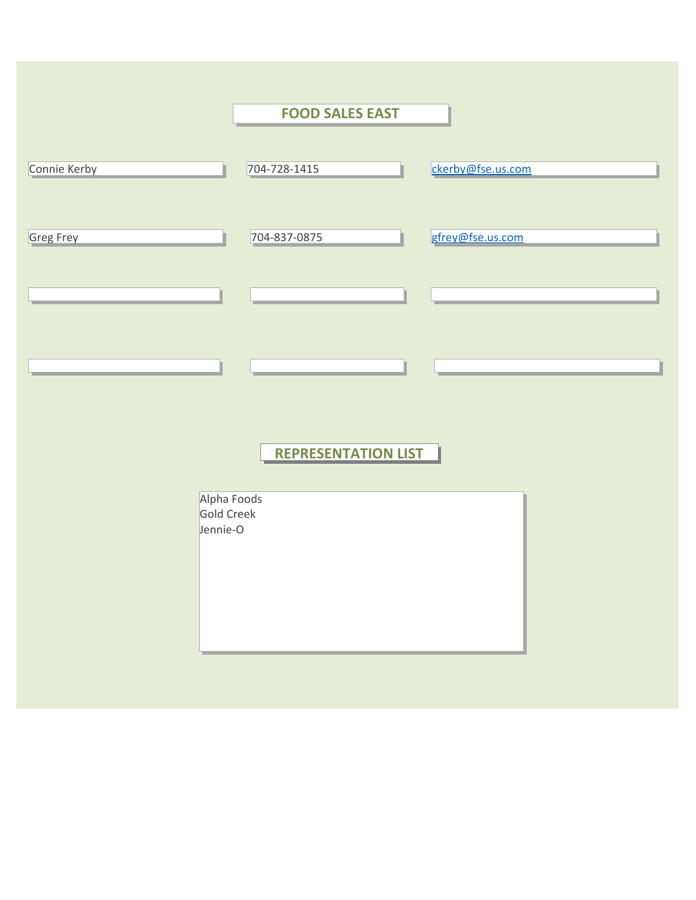|                                       | <b>FOOD SALES EAST</b>     |                   |
|---------------------------------------|----------------------------|-------------------|
| Connie Kerby                          | 704-728-1415               | ckerby@fse.us.com |
| Greg Frey                             | 704-837-0875               | gfrey@fse.us.com  |
|                                       |                            |                   |
|                                       |                            |                   |
|                                       | <b>REPRESENTATION LIST</b> |                   |
| Alpha Foods<br>Gold Creek<br>Jennie-O |                            |                   |
|                                       |                            |                   |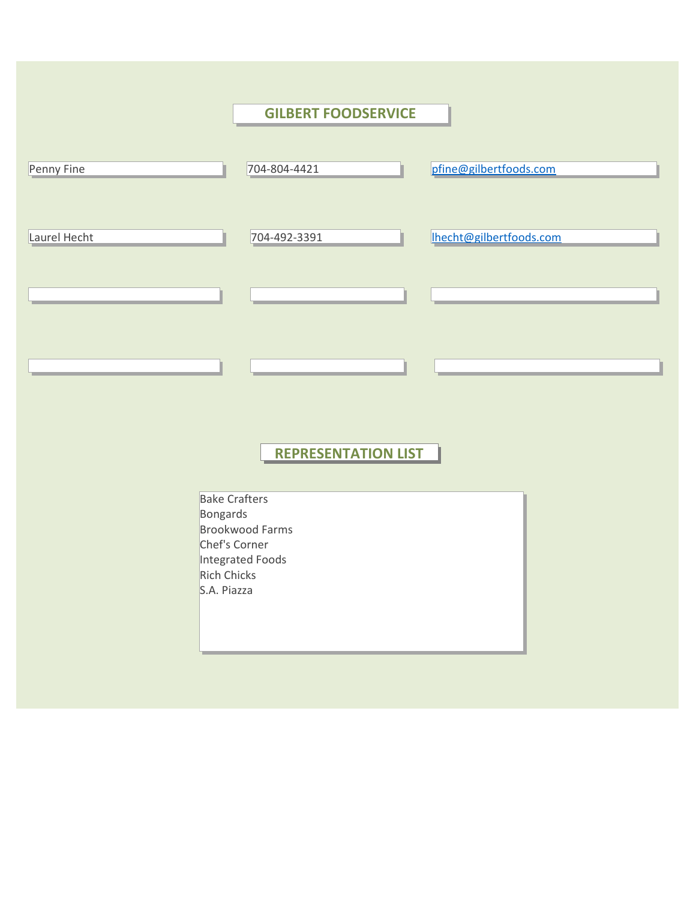| <b>GILBERT FOODSERVICE</b>                                                                                                           |                         |
|--------------------------------------------------------------------------------------------------------------------------------------|-------------------------|
| 704-804-4421                                                                                                                         | pfine@gilbertfoods.com  |
| 704-492-3391                                                                                                                         | Ihecht@gilbertfoods.com |
|                                                                                                                                      |                         |
|                                                                                                                                      |                         |
| <b>REPRESENTATION LIST</b>                                                                                                           |                         |
| <b>Bake Crafters</b><br>Bongards<br><b>Brookwood Farms</b><br>Chef's Corner<br>Integrated Foods<br><b>Rich Chicks</b><br>S.A. Piazza |                         |
|                                                                                                                                      |                         |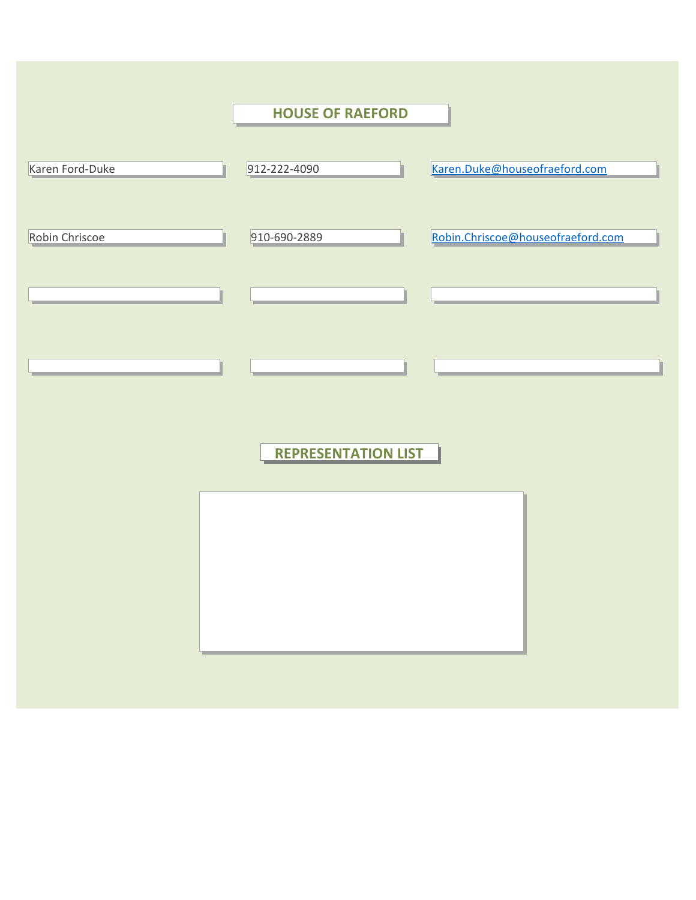|                 | <b>HOUSE OF RAEFORD</b>    |                                   |
|-----------------|----------------------------|-----------------------------------|
|                 |                            |                                   |
| Karen Ford-Duke | 912-222-4090               | Karen.Duke@houseofraeford.com     |
|                 |                            |                                   |
| Robin Chriscoe  | 910-690-2889               | Robin.Chriscoe@houseofraeford.com |
|                 |                            |                                   |
|                 |                            |                                   |
|                 |                            |                                   |
|                 |                            |                                   |
|                 |                            |                                   |
|                 |                            |                                   |
|                 | <b>REPRESENTATION LIST</b> |                                   |
|                 |                            |                                   |
|                 |                            |                                   |
|                 |                            |                                   |
|                 |                            |                                   |
|                 |                            |                                   |
|                 |                            |                                   |
|                 |                            |                                   |
|                 |                            |                                   |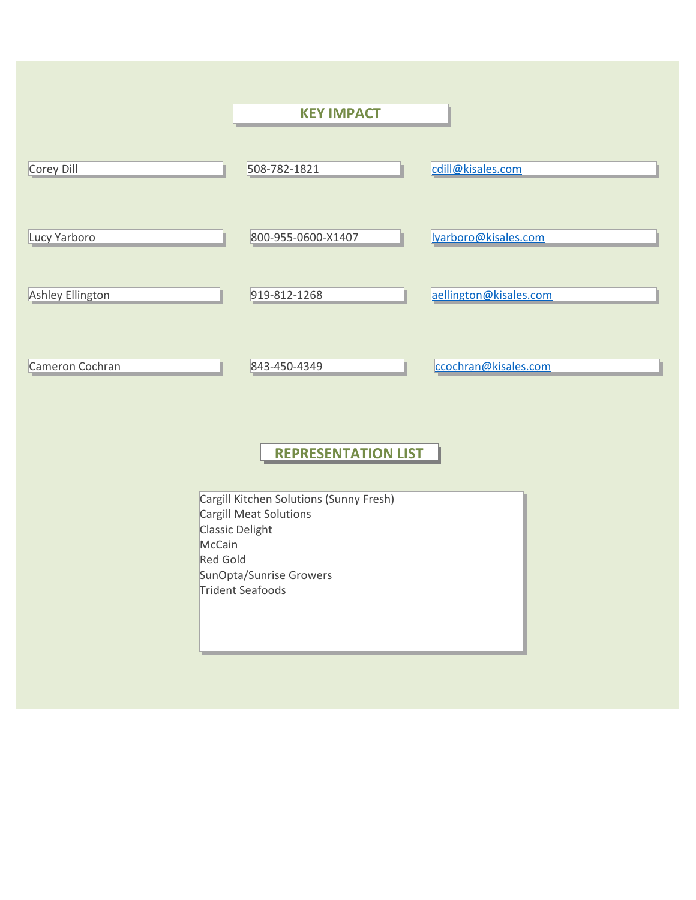|                           | <b>KEY IMPACT</b>                                                                                                                   |                        |
|---------------------------|-------------------------------------------------------------------------------------------------------------------------------------|------------------------|
| Corey Dill                | 508-782-1821                                                                                                                        | cdill@kisales.com      |
| Lucy Yarboro              | 800-955-0600-X1407                                                                                                                  | Iyarboro@kisales.com   |
| <b>Ashley Ellington</b>   | 919-812-1268                                                                                                                        | aellington@kisales.com |
| Cameron Cochran           | 843-450-4349                                                                                                                        | ccochran@kisales.com   |
|                           | <b>REPRESENTATION LIST</b>                                                                                                          |                        |
| McCain<br><b>Red Gold</b> | Cargill Kitchen Solutions (Sunny Fresh)<br>Cargill Meat Solutions<br>Classic Delight<br>SunOpta/Sunrise Growers<br>Trident Seafoods |                        |
|                           |                                                                                                                                     |                        |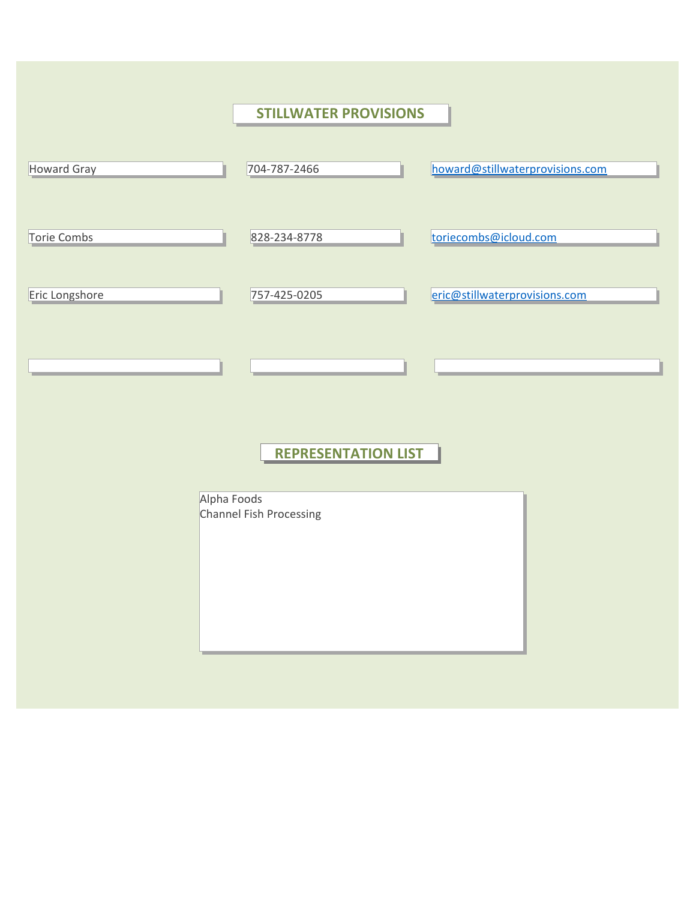|                    | <b>STILLWATER PROVISIONS</b> |                                 |
|--------------------|------------------------------|---------------------------------|
|                    |                              |                                 |
| <b>Howard Gray</b> | 704-787-2466                 | howard@stillwaterprovisions.com |
|                    |                              |                                 |
| Torie Combs        | 828-234-8778                 | toriecombs@icloud.com           |
|                    |                              |                                 |
| Eric Longshore     | 757-425-0205                 | eric@stillwaterprovisions.com   |
|                    |                              |                                 |
|                    |                              |                                 |
|                    |                              |                                 |
|                    |                              |                                 |
|                    | <b>REPRESENTATION LIST</b>   |                                 |
|                    |                              |                                 |
| Alpha Foods        | Channel Fish Processing      |                                 |
|                    |                              |                                 |
|                    |                              |                                 |
|                    |                              |                                 |
|                    |                              |                                 |
|                    |                              |                                 |
|                    |                              |                                 |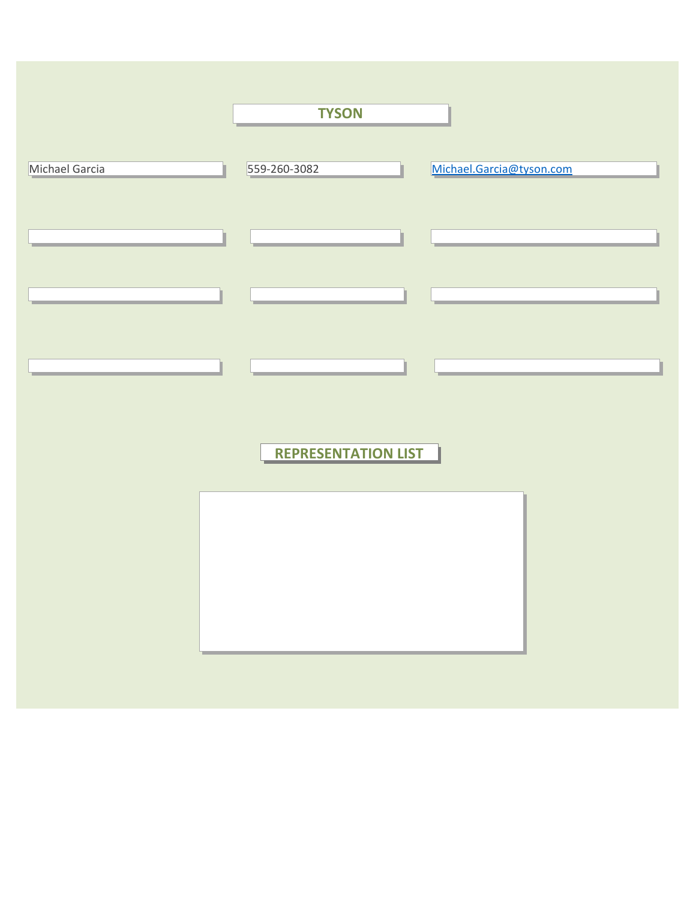|                | <b>TYSON</b>               |                          |  |
|----------------|----------------------------|--------------------------|--|
|                |                            |                          |  |
| Michael Garcia | 559-260-3082               | Michael.Garcia@tyson.com |  |
|                |                            |                          |  |
|                |                            |                          |  |
|                |                            |                          |  |
|                |                            |                          |  |
|                |                            |                          |  |
|                |                            |                          |  |
|                |                            |                          |  |
|                |                            |                          |  |
|                | <b>REPRESENTATION LIST</b> |                          |  |
|                |                            |                          |  |
|                |                            |                          |  |
|                |                            |                          |  |
|                |                            |                          |  |
|                |                            |                          |  |
|                |                            |                          |  |
|                |                            |                          |  |
|                |                            |                          |  |